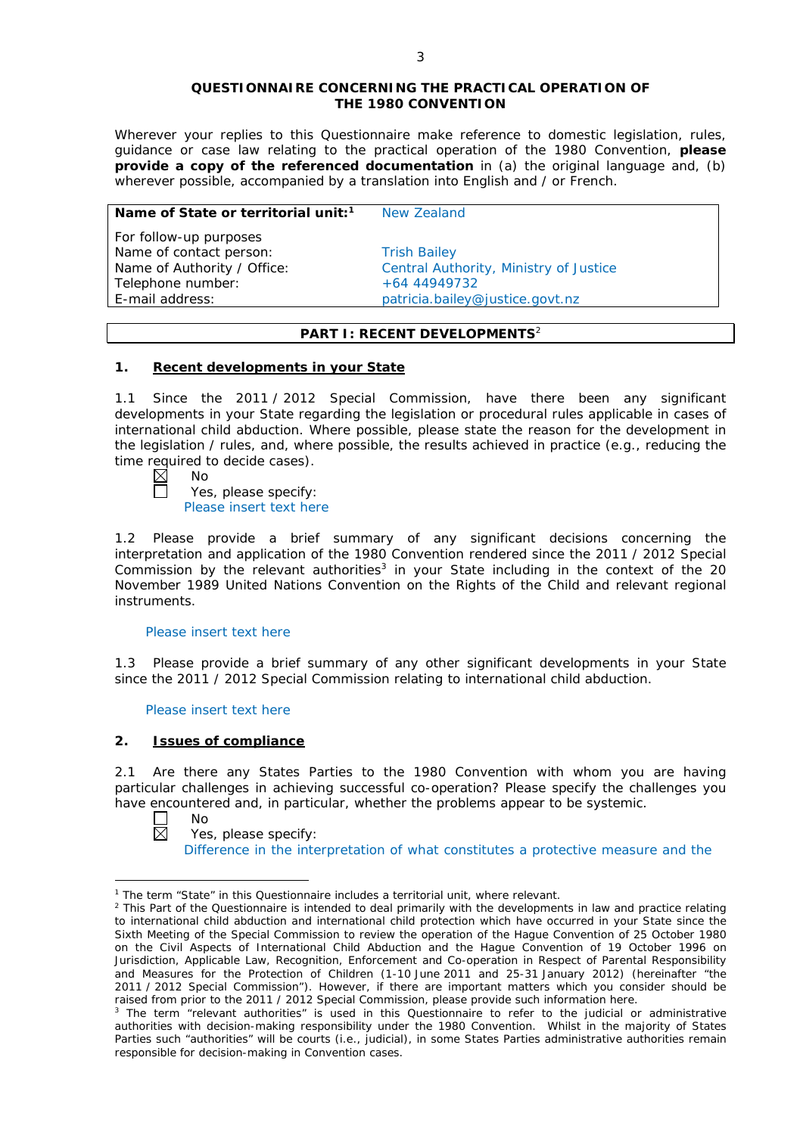#### **QUESTIONNAIRE CONCERNING THE PRACTICAL OPERATION OF THE 1980 CONVENTION**

*Wherever your replies to this Questionnaire make reference to domestic legislation, rules, guidance or case law relating to the practical operation of the 1980 Convention, please provide a copy of the referenced documentation in (a) the original language and, (b) wherever possible, accompanied by a translation into English and / or French.* 

### **Name of State or territorial unit:<sup>1</sup> New Zealand**

*For follow-up purposes* Name of contact person: Trish Bailey Telephone number:  $+64 44949732$ 

Name of Authority / Office: Central Authority, Ministry of Justice E-mail address: patricia.bailey@justice.govt.nz

## **PART I: RECENT DEVELOPMENTS**<sup>2</sup>

## **1. Recent developments in your State**

1.1 Since the 2011 / 2012 Special Commission, have there been any significant developments in your State regarding the legislation or procedural rules applicable in cases of international child abduction. Where possible, please state the reason for the development in the legislation / rules, and, where possible, the results achieved in practice (*e.g.*, reducing the time required to decide cases).<br>  $\boxtimes$  No<br>  $\Box$  Yes. please specify:

No

Yes, please specify: Please insert text here

1.2 Please provide a brief summary of any significant decisions concerning the interpretation and application of the 1980 Convention rendered since the 2011 / 2012 Special Commission by the relevant authorities<sup>3</sup> in your State including in the context of the 20 November 1989 United Nations Convention on the Rights of the Child and relevant regional instruments.

## Please insert text here

1.3 Please provide a brief summary of any other significant developments in your State since the 2011 / 2012 Special Commission relating to international child abduction.

Please insert text here

# **2. Issues of compliance**

2.1 Are there any States Parties to the 1980 Convention with whom you are having particular challenges in achieving successful co-operation? Please specify the challenges you have encountered and, in particular, whether the problems appear to be systemic.<br>  $\Box$  No<br>
Yes, please specify:



<u>.</u>

Yes, please specify:

Difference in the interpretation of what constitutes a protective measure and the

<sup>&</sup>lt;sup>1</sup> The term "State" in this Questionnaire includes a territorial unit, where relevant.

 $<sup>2</sup>$  This Part of the Questionnaire is intended to deal primarily with the developments in law and practice relating</sup> to international child abduction and international child protection which have occurred in your State since the Sixth Meeting of the Special Commission to review the operation of the *Hague Convention of 25 October 1980 on the Civil Aspects of International Child Abduction* and the *Hague Convention of 19 October 1996 on Jurisdiction, Applicable Law, Recognition, Enforcement and Co-operation in Respect of Parental Responsibility and Measures for the Protection of Children* (1-10 June 2011 and 25-31 January 2012) (hereinafter "the 2011 / 2012 Special Commission"). However, if there are important matters which you consider should be raised from *prior to* the 2011 / 2012 Special Commission, please provide such information here.

<sup>&</sup>lt;sup>3</sup> The term "relevant authorities" is used in this Questionnaire to refer to the judicial or administrative authorities with decision-making responsibility under the 1980 Convention. Whilst in the majority of States Parties such "authorities" will be courts (*i.e.*, judicial), in some States Parties administrative authorities remain responsible for decision-making in Convention cases.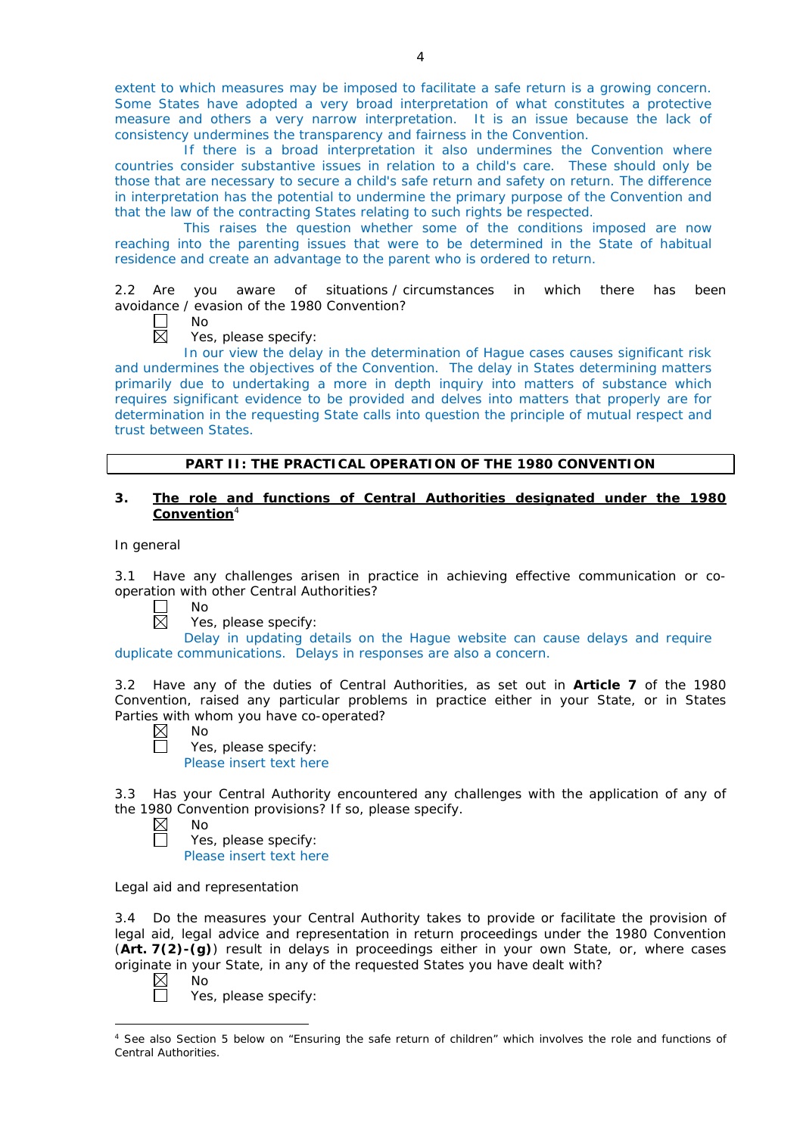extent to which measures may be imposed to facilitate a safe return is a growing concern. Some States have adopted a very broad interpretation of what constitutes a protective measure and others a very narrow interpretation. It is an issue because the lack of consistency undermines the transparency and fairness in the Convention.

If there is a broad interpretation it also undermines the Convention where countries consider substantive issues in relation to a child's care. These should only be those that are necessary to secure a child's safe return and safety on return. The difference in interpretation has the potential to undermine the primary purpose of the Convention and that the law of the contracting States relating to such rights be respected.

This raises the question whether some of the conditions imposed are now reaching into the parenting issues that were to be determined in the State of habitual residence and create an advantage to the parent who is ordered to return.

2.2 Are you aware of situations / circumstances in which there has been avoidance / evasion of the 1980 Convention?

No

 $\boxtimes$ Yes, please specify:

In our view the delay in the determination of Hague cases causes significant risk and undermines the objectives of the Convention. The delay in States determining matters primarily due to undertaking a more in depth inquiry into matters of substance which requires significant evidence to be provided and delves into matters that properly are for determination in the requesting State calls into question the principle of mutual respect and trust between States.

## **PART II: THE PRACTICAL OPERATION OF THE 1980 CONVENTION**

## **3. The role and functions of Central Authorities designated under the 1980 Convention**<sup>4</sup>

### *In general*

3.1 Have any challenges arisen in practice in achieving effective communication or cooperation with other Central Authorities?

- No  $\sqcup$  $\overline{\boxtimes}$ 
	- Yes, please specify:

Delay in updating details on the Hague website can cause delays and require duplicate communications. Delays in responses are also a concern.

3.2 Have any of the duties of Central Authorities, as set out in **Article 7** of the 1980 Convention, raised any particular problems in practice either in your State, or in States Parties with whom you have co-operated?

- $\boxtimes$ No  $\Box$ 
	- Yes, please specify: Please insert text here

3.3 Has your Central Authority encountered any challenges with the application of any of the 1980 Convention provisions? If so, please specify.

 $\boxtimes$ No

Yes, please specify: Please insert text here

## *Legal aid and representation*

3.4 Do the measures your Central Authority takes to provide or facilitate the provision of legal aid, legal advice and representation in return proceedings under the 1980 Convention (**Art. 7(2)-(g)**) result in delays in proceedings either in your own State, or, where cases originate in your State, in any of the requested States you have dealt with?

 $\boxtimes$ No

Yes, please specify:

<sup>-</sup><sup>4</sup> See also Section 5 below on "Ensuring the safe return of children" which involves the role and functions of Central Authorities.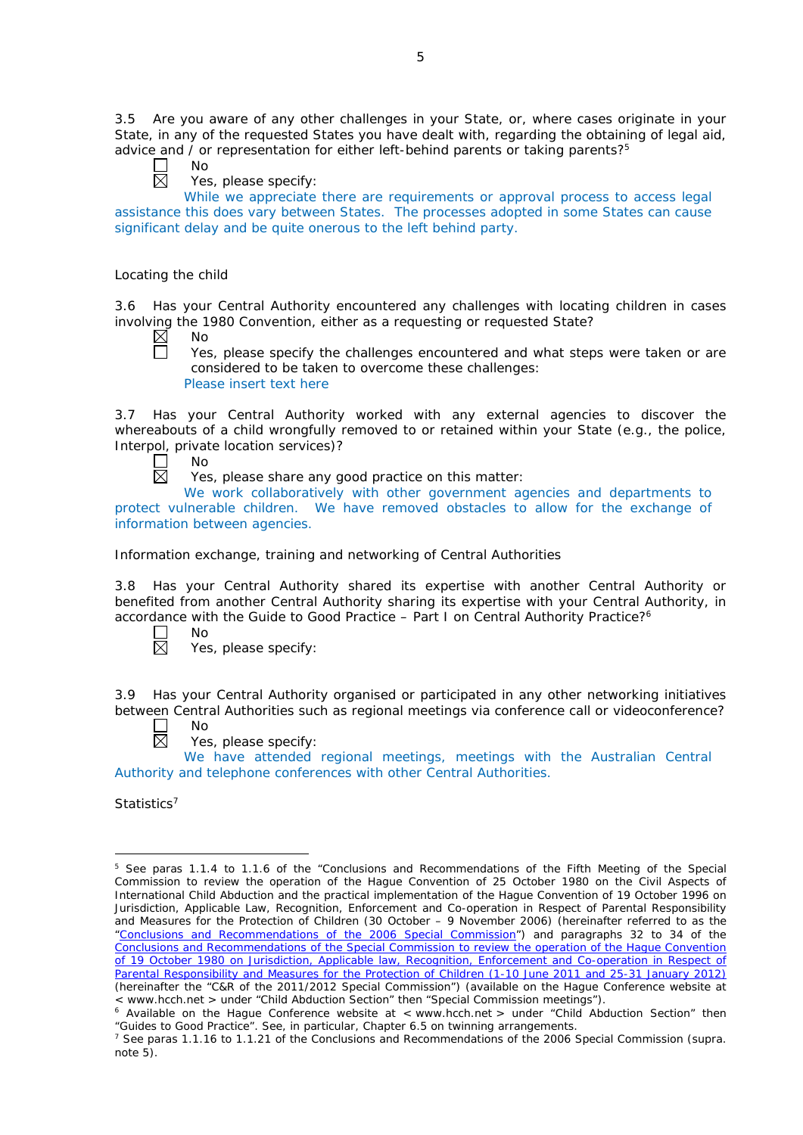3.5 Are you aware of any other challenges in your State, or, where cases originate in your State, in any of the requested States you have dealt with, regarding the obtaining of legal aid, advice and / or representation for either left-behind parents or taking parents?<sup>5</sup>

- $\Box$ No  $\overline{\boxtimes}$ 
	- Yes, please specify:

While we appreciate there are requirements or approval process to access legal assistance this does vary between States. The processes adopted in some States can cause significant delay and be quite onerous to the left behind party.

## *Locating the child*

3.6 Has your Central Authority encountered any challenges with locating children in cases involving the 1980 Convention, either as a requesting or requested State?<br>  $\boxtimes$  No

No

П Yes, please specify the challenges encountered and what steps were taken or are considered to be taken to overcome these challenges: Please insert text here

3.7 Has your Central Authority worked with any external agencies to discover the whereabouts of a child wrongfully removed to or retained within your State (*e.g.*, the police, Interpol, private location services)?

П No 岗

Yes, please share any good practice on this matter:

We work collaboratively with other government agencies and departments to protect vulnerable children. We have removed obstacles to allow for the exchange of information between agencies.

## *Information exchange, training and networking of Central Authorities*

3.8 Has your Central Authority shared its expertise with another Central Authority or benefited from another Central Authority sharing its expertise with your Central Authority, in accordance with the Guide to Good Practice  $-$  Part I on Central Authority Practice?<sup>6</sup>

 $\Box$  $\boxtimes$  No

Yes, please specify:

3.9 Has your Central Authority organised or participated in any other networking initiatives between Central Authorities such as regional meetings via conference call or videoconference? No

岗

Yes, please specify:

We have attended regional meetings, meetings with the Australian Central Authority and telephone conferences with other Central Authorities.

*Statistics*<sup>7</sup>

<u>.</u>

<sup>5</sup> See paras 1.1.4 to 1.1.6 of the "Conclusions and Recommendations of the Fifth Meeting of the Special Commission to review the operation of the *Hague Convention of 25 October 1980 on the Civil Aspects of International Child Abduction* and the practical implementation of the *Hague Convention of 19 October 1996 on Jurisdiction, Applicable Law, Recognition, Enforcement and Co-operation in Respect of Parental Responsibility and Measures for the Protection of Children* (30 October – 9 November 2006) (hereinafter referred to as the ["Conclusions and Recommendations of the 2006 Special Commission"](https://assets.hcch.net/upload/concl28sc5_e.pdf)) and paragraphs 32 to 34 of the [Conclusions and Recommendations of the Special Commission](https://assets.hcch.net/upload/wop/concl28sc6_e.pdf) to review the operation of the Hague Convention of *[19 October 1980 on Jurisdiction, Applicable law, Recognition, Enforcement](https://assets.hcch.net/upload/wop/concl28sc6_e.pdf) and Co-operation in Respect of [Parental Responsibility and Measures for the Protection of Children](https://assets.hcch.net/upload/wop/concl28sc6_e.pdf)* (1-10 June 2011 and 25-31 January 2012) (hereinafter the "C&R of the 2011/2012 Special Commission") (available on the Hague Conference website at < www.hcch.net > under "Child Abduction Section" then "Special Commission meetings").

 $6$  Available on the Haque Conference website at < www.hcch.net > under "Child Abduction Section" then "Guides to Good Practice". See, in particular, Chapter 6.5 on twinning arrangements.

<sup>7</sup> See paras 1.1.16 to 1.1.21 of the Conclusions and Recommendations of the 2006 Special Commission (*supra.*  note  $5$ ).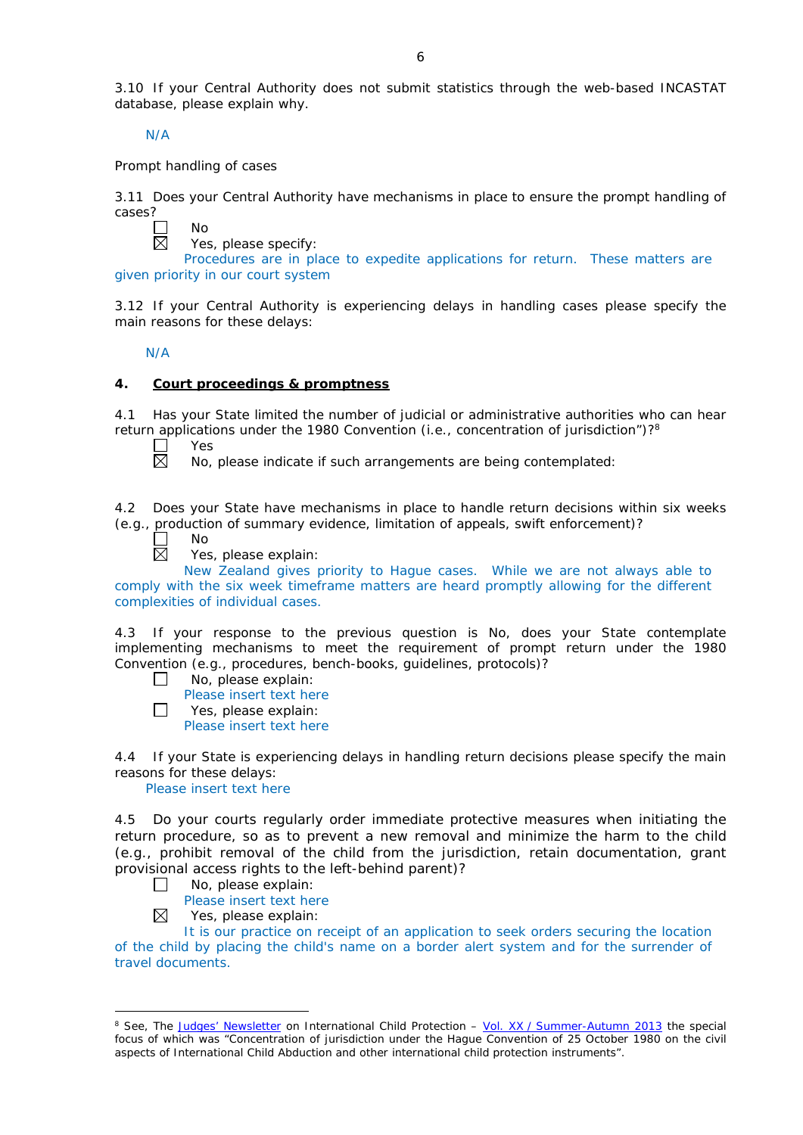3.10 If your Central Authority does not submit statistics through the web-based INCASTAT database, please explain why.

N/A

*Prompt handling of cases*

No

3.11 Does your Central Authority have mechanisms in place to ensure the prompt handling of cases?



Yes, please specify:

Procedures are in place to expedite applications for return. These matters are given priority in our court system

3.12 If your Central Authority is experiencing delays in handling cases please specify the main reasons for these delays:

N/A

## **4. Court proceedings & promptness**

4.1 Has your State limited the number of judicial or administrative authorities who can hear return applications under the 1980 Convention (*i.e.*, concentration of jurisdiction")?8

Yes 岗

No, please indicate if such arrangements are being contemplated:

4.2 Does your State have mechanisms in place to handle return decisions within six weeks (*e.g.*, production of summary evidence, limitation of appeals, swift enforcement)?

П  $\overline{\boxtimes}$  No

Yes, please explain:

New Zealand gives priority to Hague cases. While we are not always able to comply with the six week timeframe matters are heard promptly allowing for the different complexities of individual cases.

4.3 If your response to the previous question is No, does your State contemplate implementing mechanisms to meet the requirement of prompt return under the 1980 Convention (*e.g.*, procedures, bench-books, guidelines, protocols)?

- No, please explain:  $\Box$ 
	- Please insert text here
- $\Box$ Yes, please explain:

Please insert text here

4.4 If your State is experiencing delays in handling return decisions please specify the main reasons for these delays:

Please insert text here

4.5 Do your courts regularly order immediate protective measures when initiating the return procedure, so as to prevent a new removal and minimize the harm to the child (*e.g.*, prohibit removal of the child from the jurisdiction, retain documentation, grant provisional access rights to the left-behind parent)?

 $\Box$ No, please explain:

Please insert text here

⊠ Yes, please explain:

-

It is our practice on receipt of an application to seek orders securing the location of the child by placing the child's name on a border alert system and for the surrender of travel documents.

<sup>8</sup> See, *The [Judges' Newsletter](https://www.hcch.net/en/instruments/conventions/publications2/judges-newsletter)* on International Child Protection – Vol. XX / [Summer-Autumn 2013](https://assets.hcch.net/upload/newsletter/nl2013tome20en.pdf) the special focus of which was "Concentration of jurisdiction under the *Hague Convention of 25 October 1980 on the civil aspects of International Child Abduction* and other international child protection instruments".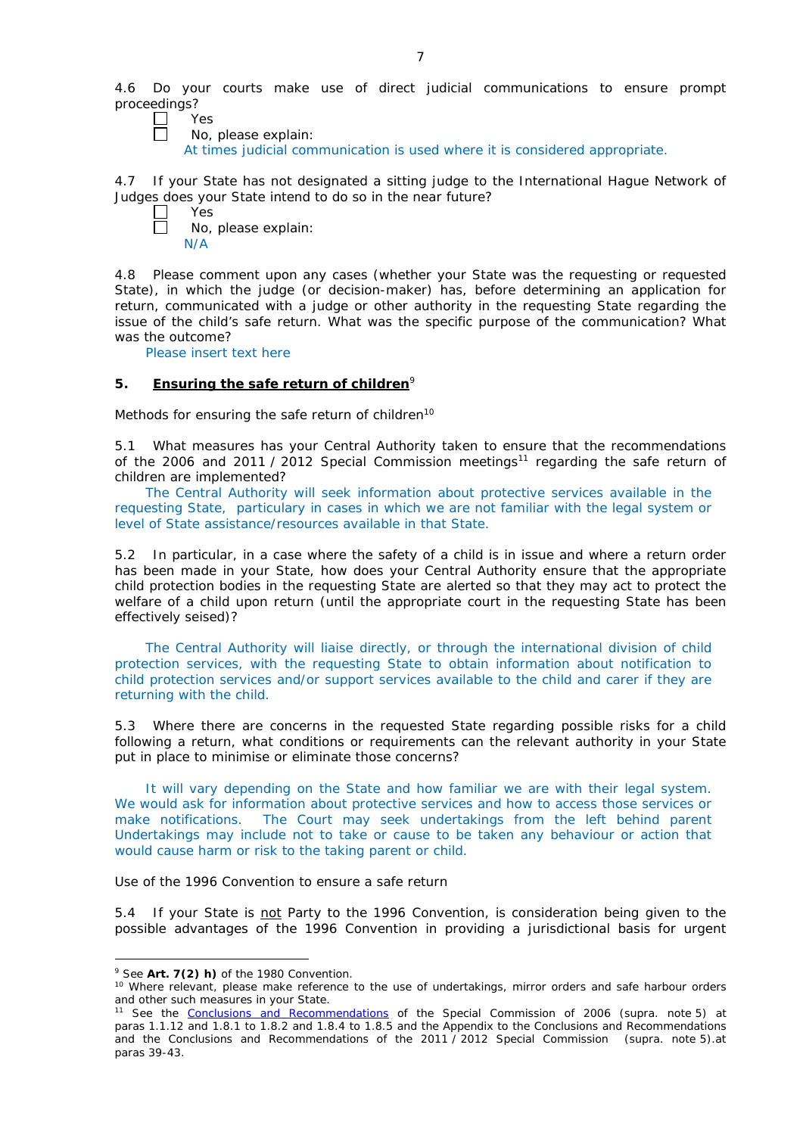4.6 Do your courts make use of direct judicial communications to ensure prompt proceedings?<br> $\nabla$ 

Yes

No, please explain:

At times judicial communication is used where it is considered appropriate.

4.7 If your State has not designated a sitting judge to the International Hague Network of Judges does your State intend to do so in the near future?

| es |   |
|----|---|
| No | r |

No, please explain: N/A

4.8 Please comment upon any cases (whether your State was the requesting or requested State), in which the judge (or decision-maker) has, before determining an application for return, communicated with a judge or other authority in the requesting State regarding the issue of the child's safe return. What was the specific purpose of the communication? What was the outcome?

Please insert text here

## **5. Ensuring the safe return of children**<sup>9</sup>

*Methods for ensuring the safe return of children*<sup>10</sup>

5.1 What measures has your Central Authority taken to ensure that the recommendations of the 2006 and 2011 / 2012 Special Commission meetings<sup>11</sup> regarding the safe return of children are implemented?

The Central Authority will seek information about protective services available in the requesting State, particulary in cases in which we are not familiar with the legal system or level of State assistance/resources available in that State.

5.2 In particular, in a case where the safety of a child is in issue and where a return order has been made in your State, how does your Central Authority ensure that the appropriate child protection bodies in the *requesting* State are alerted so that they may act to protect the welfare of a child upon return (until the appropriate court in the requesting State has been effectively seised)?

The Central Authority will liaise directly, or through the international division of child protection services, with the requesting State to obtain information about notification to child protection services and/or support services available to the child and carer if they are returning with the child.

5.3 Where there are concerns in the requested State regarding possible risks for a child following a return, what conditions or requirements can the relevant authority in your State put in place to minimise or eliminate those concerns?

It will vary depending on the State and how familiar we are with their legal system. We would ask for information about protective services and how to access those services or make notifications. The Court may seek undertakings from the left behind parent Undertakings may include not to take or cause to be taken any behaviour or action that would cause harm or risk to the taking parent or child.

*Use of the 1996 Convention to ensure a safe return*

5.4 If your State is not Party to the 1996 Convention, is consideration being given to the possible advantages of the 1996 Convention in providing a jurisdictional basis for urgent

<u>.</u>

<sup>9</sup> See **Art. 7(2)** *h)* of the 1980 Convention.

<sup>&</sup>lt;sup>10</sup> Where relevant, please make reference to the use of undertakings, mirror orders and safe harbour orders and other such measures in your State.

<sup>11</sup> See the [Conclusions and Recommendations](https://assets.hcch.net/upload/concl28sc5_e.pdf) of the Special Commission of 2006 (*supra.* note 5) at paras 1.1.12 and 1.8.1 to 1.8.2 and 1.8.4 to 1.8.5 and the Appendix to the Conclusions and Recommendations and the [Conclusions and Recommendations of the 2011](https://assets.hcch.net/upload/wop/concl28sc6_e.pdf) / 2012 Special Commission (*supra.* note 5).at paras 39-43.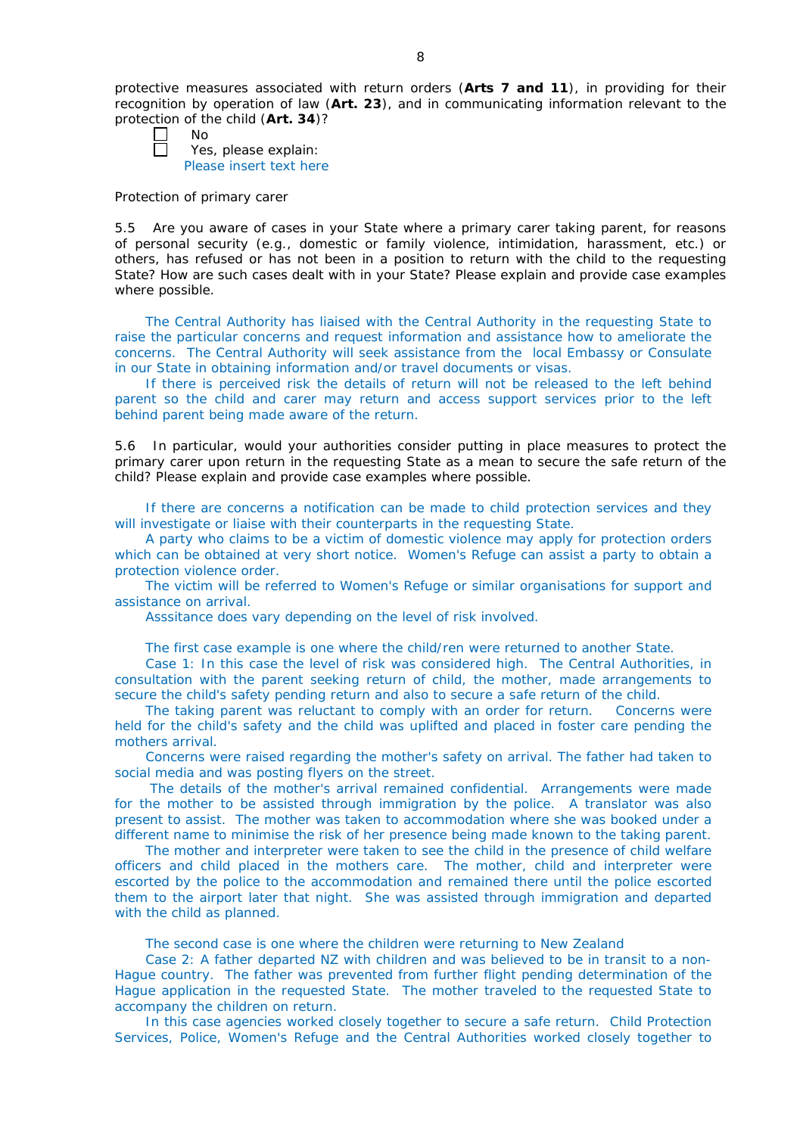protective measures associated with return orders (**Arts 7 and 11**), in providing for their recognition by operation of law (**Art. 23**), and in communicating information relevant to the protection of the child (**Art. 34**)?

| חוי |
|-----|
|     |

Yes, please explain: Please insert text here

#### *Protection of primary carer*

5.5 Are you aware of cases in your State where a primary carer taking parent, for reasons of personal security (*e.g.*, domestic or family violence, intimidation, harassment, etc.) or others, has refused or has not been in a position to return with the child to the requesting State? How are such cases dealt with in your State? Please explain and provide case examples where possible.

The Central Authority has liaised with the Central Authority in the requesting State to raise the particular concerns and request information and assistance how to ameliorate the concerns. The Central Authority will seek assistance from the local Embassy or Consulate in our State in obtaining information and/or travel documents or visas.

If there is perceived risk the details of return will not be released to the left behind parent so the child and carer may return and access support services prior to the left behind parent being made aware of the return.

5.6 In particular, would your authorities consider putting in place measures to protect the primary carer upon return in the requesting State as a mean to secure the safe return of the child? Please explain and provide case examples where possible.

If there are concerns a notification can be made to child protection services and they will investigate or liaise with their counterparts in the requesting State.

A party who claims to be a victim of domestic violence may apply for protection orders which can be obtained at very short notice. Women's Refuge can assist a party to obtain a protection violence order.

The victim will be referred to Women's Refuge or similar organisations for support and assistance on arrival.

Asssitance does vary depending on the level of risk involved.

The first case example is one where the child/ren were returned to another State.

Case 1: In this case the level of risk was considered high. The Central Authorities, in consultation with the parent seeking return of child, the mother, made arrangements to secure the child's safety pending return and also to secure a safe return of the child.

The taking parent was reluctant to comply with an order for return. Concerns were held for the child's safety and the child was uplifted and placed in foster care pending the mothers arrival.

Concerns were raised regarding the mother's safety on arrival. The father had taken to social media and was posting flyers on the street.

The details of the mother's arrival remained confidential. Arrangements were made for the mother to be assisted through immigration by the police. A translator was also present to assist. The mother was taken to accommodation where she was booked under a different name to minimise the risk of her presence being made known to the taking parent.

The mother and interpreter were taken to see the child in the presence of child welfare officers and child placed in the mothers care. The mother, child and interpreter were escorted by the police to the accommodation and remained there until the police escorted them to the airport later that night. She was assisted through immigration and departed with the child as planned.

The second case is one where the children were returning to New Zealand

Case 2: A father departed NZ with children and was believed to be in transit to a non-Hague country. The father was prevented from further flight pending determination of the Hague application in the requested State. The mother traveled to the requested State to accompany the children on return.

In this case agencies worked closely together to secure a safe return. Child Protection Services, Police, Women's Refuge and the Central Authorities worked closely together to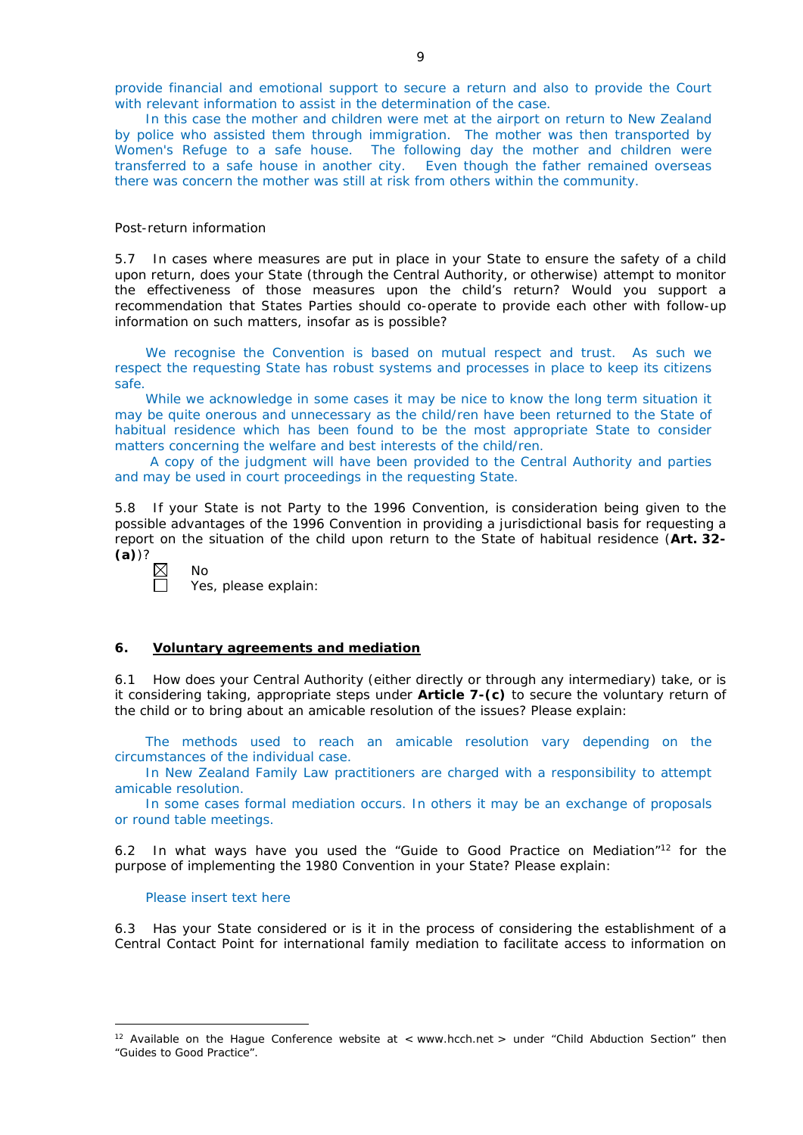provide financial and emotional support to secure a return and also to provide the Court with relevant information to assist in the determination of the case.

In this case the mother and children were met at the airport on return to New Zealand by police who assisted them through immigration. The mother was then transported by Women's Refuge to a safe house. The following day the mother and children were transferred to a safe house in another city. Even though the father remained overseas there was concern the mother was still at risk from others within the community.

#### *Post-return information*

5.7 In cases where measures are put in place in your State to ensure the safety of a child upon return, does your State (through the Central Authority, or otherwise) attempt to monitor the effectiveness of those measures upon the child's return? Would you support a recommendation that States Parties should co-operate to provide each other with follow-up information on such matters, insofar as is possible?

We recognise the Convention is based on mutual respect and trust. As such we respect the requesting State has robust systems and processes in place to keep its citizens safe.

While we acknowledge in some cases it may be nice to know the long term situation it may be quite onerous and unnecessary as the child/ren have been returned to the State of habitual residence which has been found to be the most appropriate State to consider matters concerning the welfare and best interests of the child/ren.

A copy of the judgment will have been provided to the Central Authority and parties and may be used in court proceedings in the requesting State.

5.8 If your State is not Party to the 1996 Convention, is consideration being given to the possible advantages of the 1996 Convention in providing a jurisdictional basis for requesting a report on the situation of the child upon return to the State of habitual residence (**Art. 32- (a)**)?

 $\overline{\mathbb{N}}$ 

No

Yes, please explain:

## **6. Voluntary agreements and mediation**

6.1 How does your Central Authority (either directly or through any intermediary) take, or is it considering taking, appropriate steps under **Article 7-(c)** to secure the voluntary return of the child or to bring about an amicable resolution of the issues? Please explain:

The methods used to reach an amicable resolution vary depending on the circumstances of the individual case.

In New Zealand Family Law practitioners are charged with a responsibility to attempt amicable resolution.

In some cases formal mediation occurs. In others it may be an exchange of proposals or round table meetings.

6.2 In what ways have you used the "Guide to Good Practice on Mediation"12 for the purpose of implementing the 1980 Convention in your State? Please explain:

### Please insert text here

-

6.3 Has your State considered or is it in the process of considering the establishment of a Central Contact Point for international family mediation to facilitate access to information on

<sup>&</sup>lt;sup>12</sup> Available on the Hague Conference website at < www.hcch.net > under "Child Abduction Section" then "Guides to Good Practice".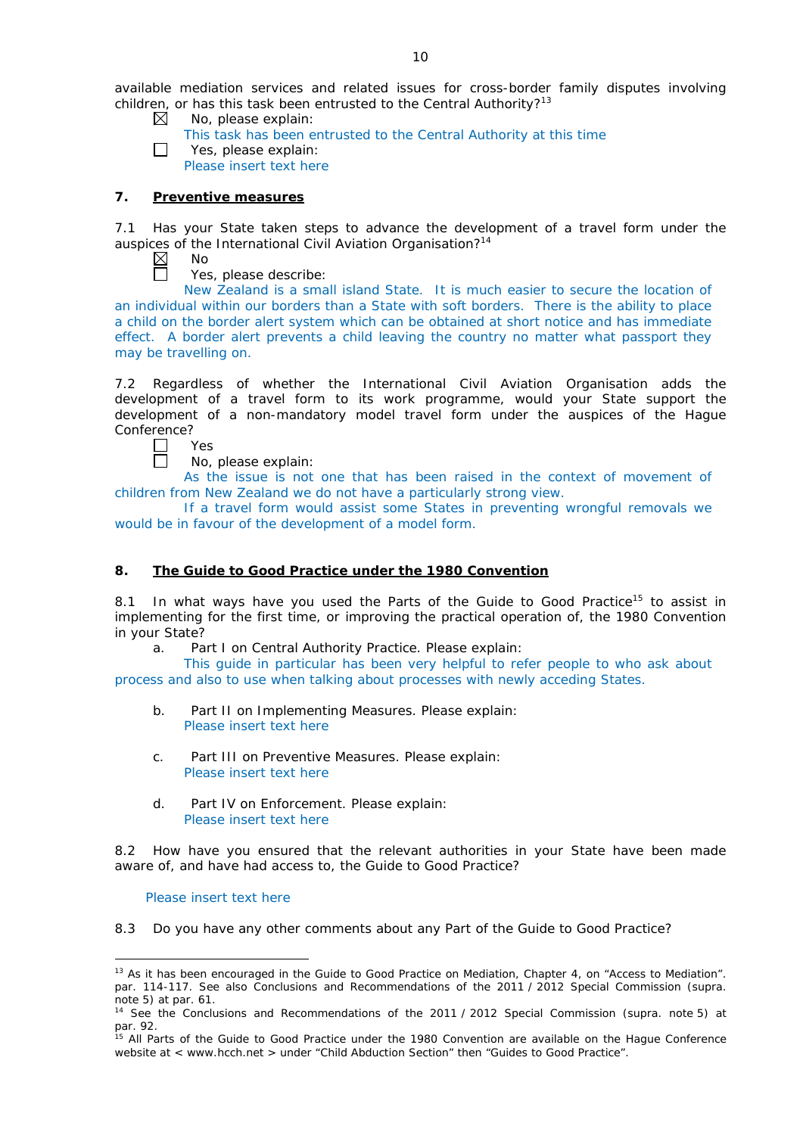available mediation services and related issues for cross-border family disputes involving children, or has this task been entrusted to the Central Authority?<sup>13</sup>

- $\boxtimes$ No, please explain:
	- This task has been entrusted to the Central Authority at this time
- П Yes, please explain: Please insert text here

### **7. Preventive measures**

7.1 Has your State taken steps to advance the development of a travel form under the auspices of the International Civil Aviation Organisation?<sup>14</sup>

- $\boxtimes$ No  $\Box$ 
	- Yes, please describe:

New Zealand is a small island State. It is much easier to secure the location of an individual within our borders than a State with soft borders. There is the ability to place a child on the border alert system which can be obtained at short notice and has immediate effect. A border alert prevents a child leaving the country no matter what passport they may be travelling on.

7.2 Regardless of whether the International Civil Aviation Organisation adds the development of a travel form to its work programme, would your State support the development of a non-mandatory model travel form under the auspices of the Hague Conference?



No, please explain:

As the issue is not one that has been raised in the context of movement of children from New Zealand we do not have a particularly strong view.

If a travel form would assist some States in preventing wrongful removals we would be in favour of the development of a model form.

## **8. The Guide to Good Practice under the 1980 Convention**

8.1 In what ways have you used the Parts of the Guide to Good Practice<sup>15</sup> to assist in implementing for the first time, or improving the practical operation of, the 1980 Convention in your State?

a. Part I on Central Authority Practice. Please explain:

This guide in particular has been very helpful to refer people to who ask about process and also to use when talking about processes with newly acceding States.

- b. Part II on Implementing Measures. Please explain: Please insert text here
- c. Part III on Preventive Measures. Please explain: Please insert text here
- d. Part IV on Enforcement. Please explain: Please insert text here

8.2 How have you ensured that the relevant authorities in your State have been made aware of, and have had access to, the Guide to Good Practice?

### Please insert text here

8.3 Do you have any other comments about any Part of the Guide to Good Practice?

<sup>&</sup>lt;u>.</u> <sup>13</sup> As it has been encouraged in the Guide to Good Practice on Mediation, Chapter 4, on "Access to Mediation". par. 114-117. See also [Conclusions and Recommendations of the 2011](https://assets.hcch.net/upload/wop/concl28sc6_e.pdf) / 2012 Special Commission (*supra.* .<br>note 5) at par. 61.

<sup>14</sup> See the [Conclusions and Recommendations of the 2011](https://assets.hcch.net/upload/wop/concl28sc6_e.pdf) / 2012 Special Commission (*supra.* note 5) at par. 92.

<sup>&</sup>lt;sup>15</sup> All Parts of the Guide to Good Practice under the 1980 Convention are available on the Hague Conference website at < www.hcch.net > under "Child Abduction Section" then "Guides to Good Practice".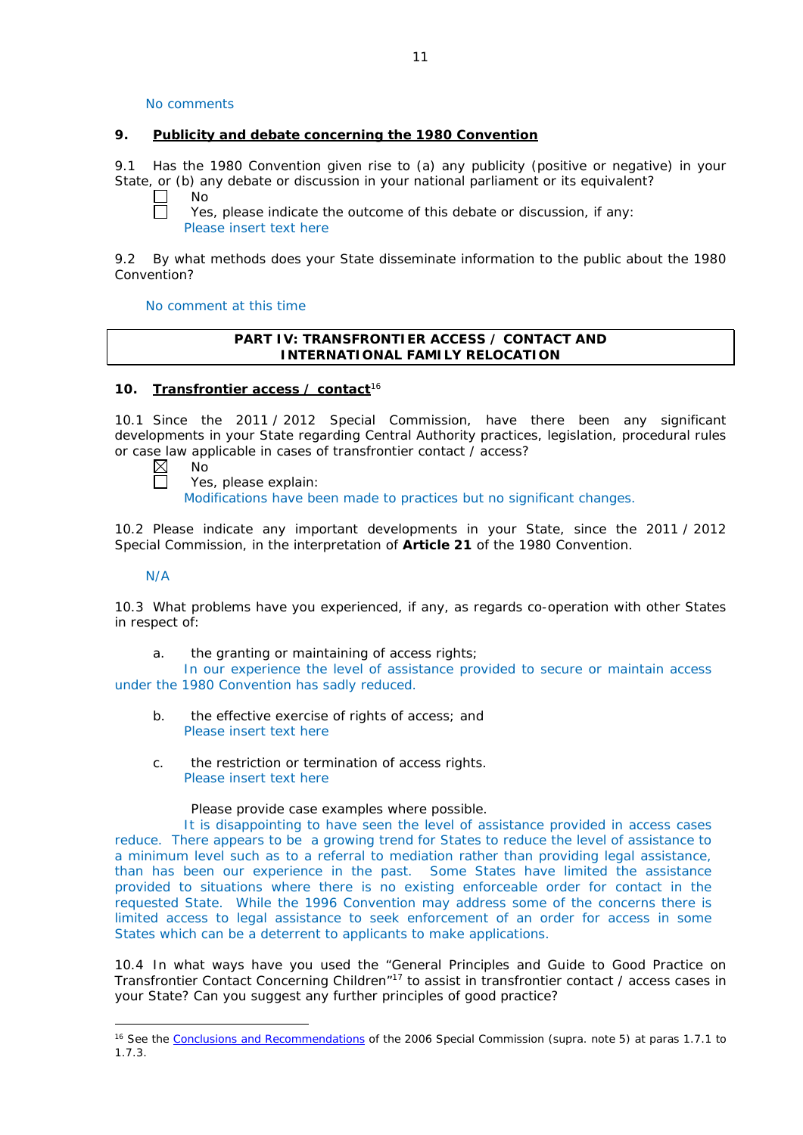No comments

### **9. Publicity and debate concerning the 1980 Convention**

9.1 Has the 1980 Convention given rise to (a) any publicity (positive or negative) in your State, or (b) any debate or discussion in your national parliament or its equivalent?

 $\Box$ No  $\Box$ 

Yes, please indicate the outcome of this debate or discussion, if any: Please insert text here

9.2 By what methods does your State disseminate information to the public about the 1980 Convention?

No comment at this time

## **PART IV: TRANSFRONTIER ACCESS / CONTACT AND INTERNATIONAL FAMILY RELOCATION**

## **10. Transfrontier access / contact**<sup>16</sup>

10.1 Since the 2011 / 2012 Special Commission, have there been any significant developments in your State regarding Central Authority practices, legislation, procedural rules or case law applicable in cases of transfrontier contact /  $\alpha$  access?<br>  $\boxtimes$  No

No  $\Box$ 

Yes, please explain: Modifications have been made to practices but no significant changes.

10.2 Please indicate any important developments in your State, since the 2011 / 2012 Special Commission, in the interpretation of **Article 21** of the 1980 Convention.

N/A

-

10.3 What problems have you experienced, if any, as regards co-operation with other States in respect of:

a. the granting or maintaining of access rights;

In our experience the level of assistance provided to secure or maintain access under the 1980 Convention has sadly reduced.

- b. the effective exercise of rights of access; and Please insert text here
- c. the restriction or termination of access rights. Please insert text here

Please provide case examples where possible.

It is disappointing to have seen the level of assistance provided in access cases reduce. There appears to be a growing trend for States to reduce the level of assistance to a minimum level such as to a referral to mediation rather than providing legal assistance, than has been our experience in the past. Some States have limited the assistance provided to situations where there is no existing enforceable order for contact in the requested State. While the 1996 Convention may address some of the concerns there is limited access to legal assistance to seek enforcement of an order for access in some States which can be a deterrent to applicants to make applications.

10.4 In what ways have you used the "General Principles and Guide to Good Practice on Transfrontier Contact Concerning Children"17 to assist in transfrontier contact / access cases in your State? Can you suggest any further principles of good practice?

<sup>16</sup> See the [Conclusions and Recommendations](https://assets.hcch.net/upload/concl28sc5_e.pdf) of the 2006 Special Commission (*supra.* note 5) at paras 1.7.1 to 1.7.3.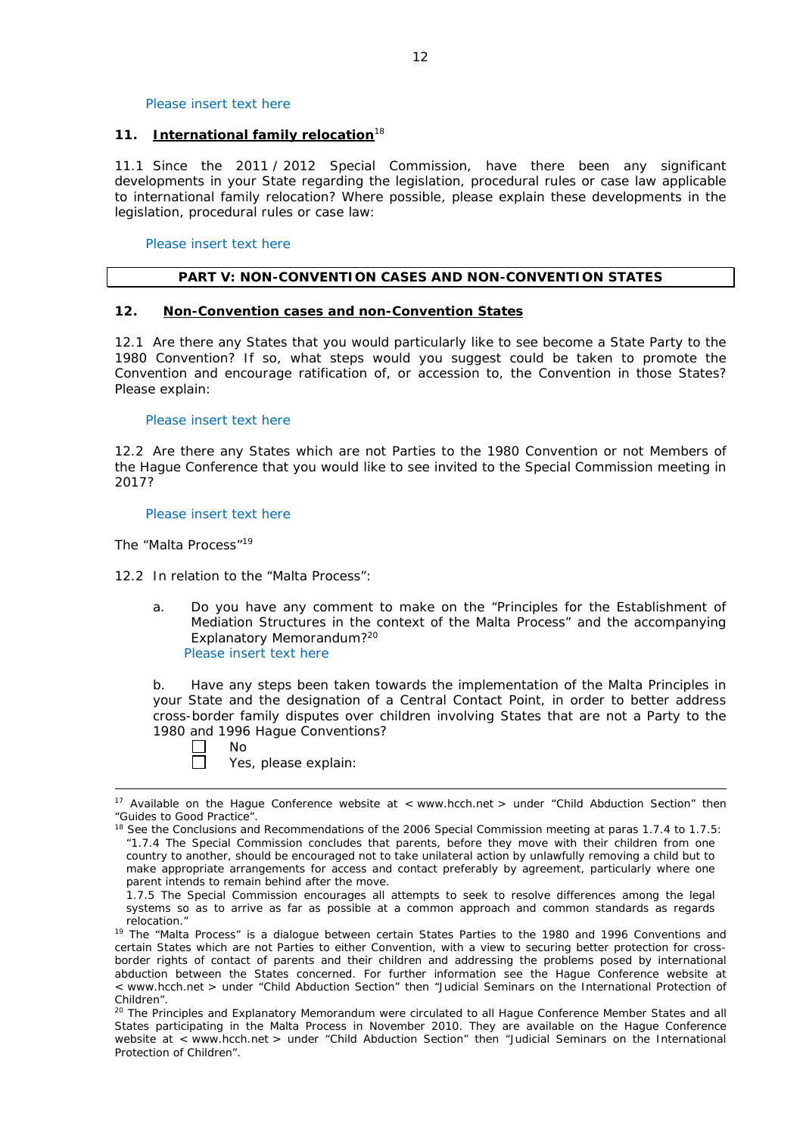Please insert text here

#### **11. International family relocation**<sup>18</sup>

11.1 Since the 2011 / 2012 Special Commission, have there been any significant developments in your State regarding the legislation, procedural rules or case law applicable to international family relocation? Where possible, please explain these developments in the legislation, procedural rules or case law:

Please insert text here

## **PART V: NON-CONVENTION CASES AND NON-CONVENTION STATES**

#### **12. Non-Convention cases and non-Convention States**

12.1 Are there any States that you would particularly like to see become a State Party to the 1980 Convention? If so, what steps would you suggest could be taken to promote the Convention and encourage ratification of, or accession to, the Convention in those States? Please explain:

#### Please insert text here

12.2 Are there any States which are not Parties to the 1980 Convention or not Members of the Hague Conference that you would like to see invited to the Special Commission meeting in 2017?

#### Please insert text here

*The "Malta Process"*<sup>19</sup>

12.2 In relation to the "Malta Process":

a. Do you have any comment to make on the "Principles for the Establishment of Mediation Structures in the context of the Malta Process" and the accompanying Explanatory Memorandum?20 Please insert text here

b. Have any steps been taken towards the implementation of the Malta Principles in your State and the designation of a Central Contact Point, in order to better address cross-border family disputes over children involving States that are not a Party to the 1980 and 1996 Hague Conventions?

No  $\Box$ 

-

Yes, please explain:

<sup>&</sup>lt;sup>17</sup> Available on the Hague Conference website at < www.hcch.net > under "Child Abduction Section" then "Guides to Good Practice".

<sup>&</sup>lt;sup>18</sup> See the Conclusions and Recommendations of the 2006 Special Commission meeting at paras 1.7.4 to 1.7.5: *"*1.7.4 The Special Commission concludes that parents, before they move with their children from one country to another, should be encouraged not to take unilateral action by unlawfully removing a child but to make appropriate arrangements for access and contact preferably by agreement, particularly where one parent intends to remain behind after the move.

<sup>1.7.5</sup> The Special Commission encourages all attempts to seek to resolve differences among the legal systems so as to arrive as far as possible at a common approach and common standards as regards relocation."

<sup>&</sup>lt;sup>19</sup> The "Malta Process" is a dialogue between certain States Parties to the 1980 and 1996 Conventions and certain States which are not Parties to either Convention, with a view to securing better protection for crossborder rights of contact of parents and their children and addressing the problems posed by international abduction between the States concerned. For further information see the Hague Conference website at < www.hcch.net > under "Child Abduction Section" then "Judicial Seminars on the International Protection of Children".

<sup>20</sup> The Principles and Explanatory Memorandum were circulated to all Hague Conference Member States and all States participating in the Malta Process in November 2010. They are available on the Hague Conference website at < www.hcch.net > under "Child Abduction Section" then "Judicial Seminars on the International Protection of Children".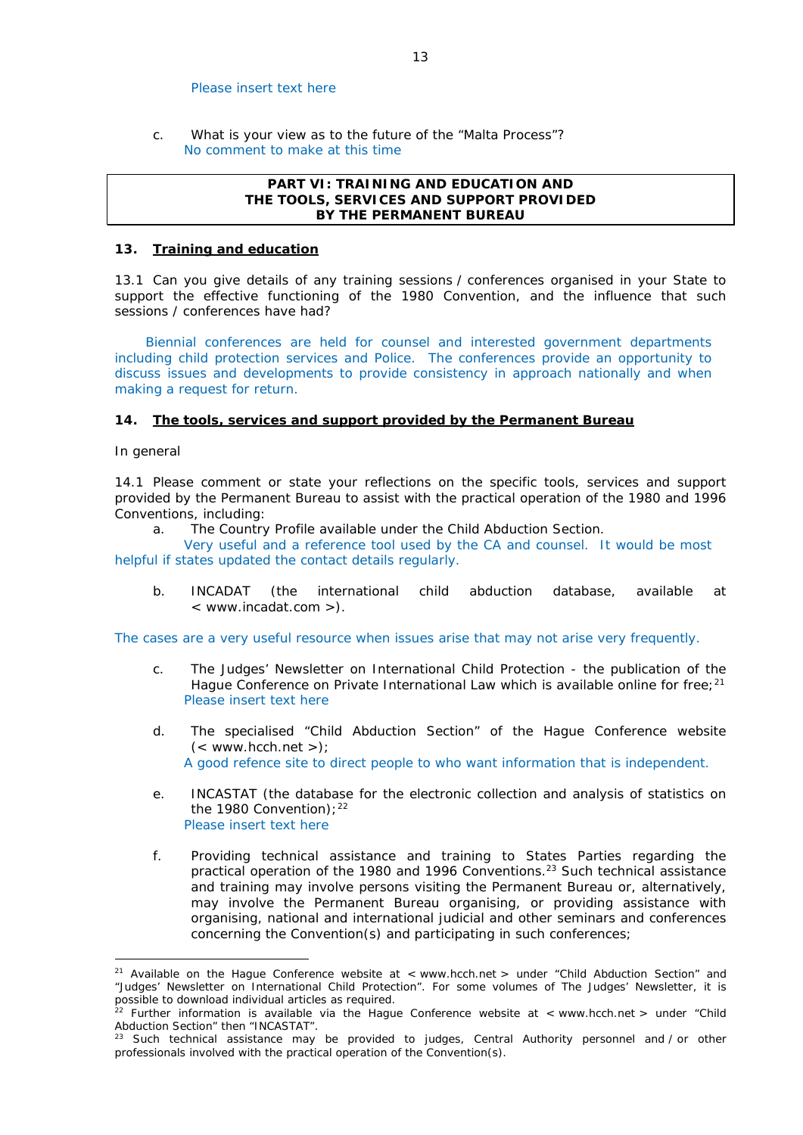#### Please insert text here

c. What is your view as to the future of the "Malta Process"? No comment to make at this time

## **PART VI: TRAINING AND EDUCATION AND THE TOOLS, SERVICES AND SUPPORT PROVIDED BY THE PERMANENT BUREAU**

## **13. Training and education**

13.1 Can you give details of any training sessions / conferences organised in your State to support the effective functioning of the 1980 Convention, and the influence that such sessions / conferences have had?

Biennial conferences are held for counsel and interested government departments including child protection services and Police. The conferences provide an opportunity to discuss issues and developments to provide consistency in approach nationally and when making a request for return.

## **14. The tools, services and support provided by the Permanent Bureau**

## *In general*

<u>.</u>

14.1 Please comment or state your reflections on the specific tools, services and support provided by the Permanent Bureau to assist with the practical operation of the 1980 and 1996 Conventions, including:

a. The Country Profile available under the Child Abduction Section.

Very useful and a reference tool used by the CA and counsel. It would be most helpful if states updated the contact details regularly.

b. INCADAT (the international child abduction database, available at < www.incadat.com >).

The cases are a very useful resource when issues arise that may not arise very frequently.

- c. *The Judges' Newsletter* on International Child Protection the publication of the Hague Conference on Private International Law which is available online for free; $2<sup>1</sup>$ Please insert text here
- d. The specialised "Child Abduction Section" of the Hague Conference website  $(<$  www.hcch.net >); A good refence site to direct people to who want information that is independent.
- e. INCASTAT (the database for the electronic collection and analysis of statistics on the 1980 Convention):  $22$ Please insert text here
- f. Providing technical assistance and training to States Parties regarding the practical operation of the 1980 and 1996 Conventions.<sup>23</sup> Such technical assistance and training may involve persons visiting the Permanent Bureau or, alternatively, may involve the Permanent Bureau organising, or providing assistance with organising, national and international judicial and other seminars and conferences concerning the Convention(s) and participating in such conferences;

<sup>&</sup>lt;sup>21</sup> Available on the Hague Conference website at < www.hcch.net > under "Child Abduction Section" and "Judges' Newsletter on International Child Protection". For some volumes of *The Judges' Newsletter*, it is possible to download individual articles as required.

<sup>&</sup>lt;sup>22</sup> Further information is available via the Hague Conference website at < www.hcch.net > under "Child Abduction Section" then "INCASTAT".

Such technical assistance may be provided to judges, Central Authority personnel and / or other professionals involved with the practical operation of the Convention(s).